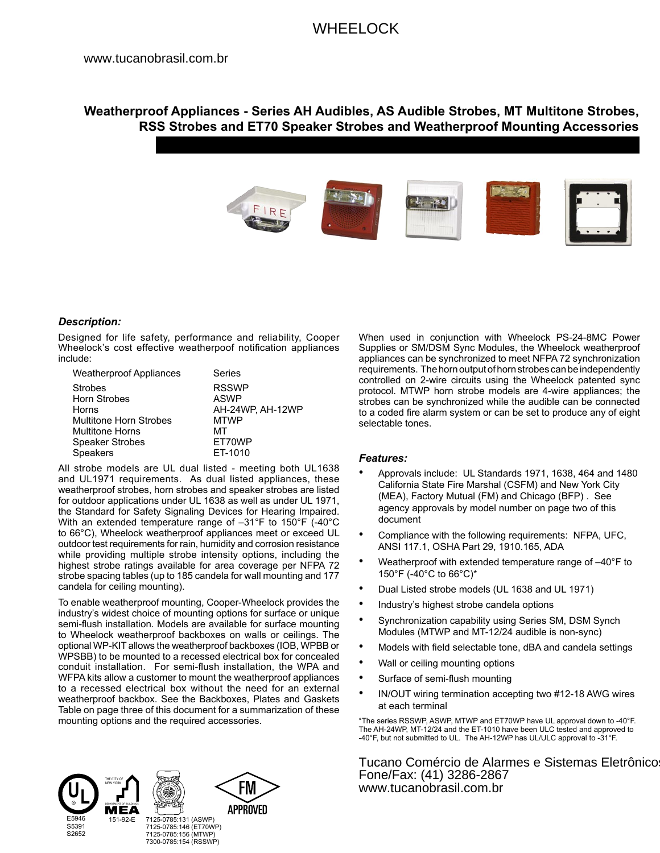# WHEELOCK

## **Weatherproof Appliances - Series AH Audibles, AS Audible Strobes, MT Multitone Strobes, RSS Strobes and ET70 Speaker Strobes and Weatherproof Mounting Accessories**



## *Description:*

Designed for life safety, performance and reliability, Cooper Wheelock's cost effective weatherpoof notification appliances include:

| <b>Weatherproof Appliances</b> | Series           |
|--------------------------------|------------------|
| <b>Strobes</b>                 | <b>RSSWP</b>     |
| Horn Strobes                   | <b>ASWP</b>      |
| Horns                          | AH-24WP. AH-12WP |
| Multitone Horn Strobes         | <b>MTWP</b>      |
| <b>Multitone Horns</b>         | MТ               |
| Speaker Strobes                | ET70WP           |
| <b>Speakers</b>                | ET-1010          |

All strobe models are UL dual listed - meeting both UL1638 and UL1971 requirements. As dual listed appliances, these weatherproof strobes, horn strobes and speaker strobes are listed for outdoor applications under UL 1638 as well as under UL 1971, the Standard for Safety Signaling Devices for Hearing Impaired. With an extended temperature range of –31°F to 150°F (-40°C to 66°C), Wheelock weatherproof appliances meet or exceed UL outdoor test requirements for rain, humidity and corrosion resistance while providing multiple strobe intensity options, including the highest strobe ratings available for area coverage per NFPA 72 strobe spacing tables (up to 185 candela for wall mounting and 177 candela for ceiling mounting).

To enable weatherproof mounting, Cooper-Wheelock provides the industry's widest choice of mounting options for surface or unique semi-flush installation. Models are available for surface mounting to Wheelock weatherproof backboxes on walls or ceilings. The optional WP-KIT allows the weatherproof backboxes (IOB, WPBB or WPSBB) to be mounted to a recessed electrical box for concealed conduit installation. For semi-flush installation, the WPA and WFPA kits allow a customer to mount the weatherproof appliances to a recessed electrical box without the need for an external weatherproof backbox. See the Backboxes, Plates and Gaskets Table on page three of this document for a summarization of these mounting options and the required accessories.



When used in conjunction with Wheelock PS-24-8MC Power Supplies or SM/DSM Sync Modules, the Wheelock weatherproof appliances can be synchronized to meet NFPA 72 synchronization requirements. The horn output of horn strobes can be independently controlled on 2-wire circuits using the Wheelock patented sync protocol. MTWP horn strobe models are 4-wire appliances; the strobes can be synchronized while the audible can be connected to a coded fire alarm system or can be set to produce any of eight selectable tones.

## *Features:*

- Approvals include: UL Standards 1971, 1638, 464 and 1480 California State Fire Marshal (CSFM) and New York City (MEA), Factory Mutual (FM) and Chicago (BFP) . See agency approvals by model number on page two of this document
- Compliance with the following requirements: NFPA, UFC, ANSI 117.1, OSHA Part 29, 1910.165, ADA
- Weatherproof with extended temperature range of –40°F to 150°F (-40°C to 66°C)\*
- Dual Listed strobe models (UL 1638 and UL 1971)
- Industry's highest strobe candela options
- Synchronization capability using Series SM, DSM Synch Modules (MTWP and MT-12/24 audible is non-sync)
- Models with field selectable tone, dBA and candela settings
- Wall or ceiling mounting options
- Surface of semi-flush mounting
- IN/OUT wiring termination accepting two #12-18 AWG wires at each terminal

\*The series RSSWP, ASWP, MTWP and ET70WP have UL approval down to -40°F. The AH-24WP, MT-12/24 and the ET-1010 have been ULC tested and approved to -40°F, but not submitted to UL. The AH-12WP has UL/ULC approval to -31°F.

Tucano Comércio de Alarmes e Sistemas Eletrônico Fone/Fax: (41) 3286-2867 www.tucanobrasil.com.br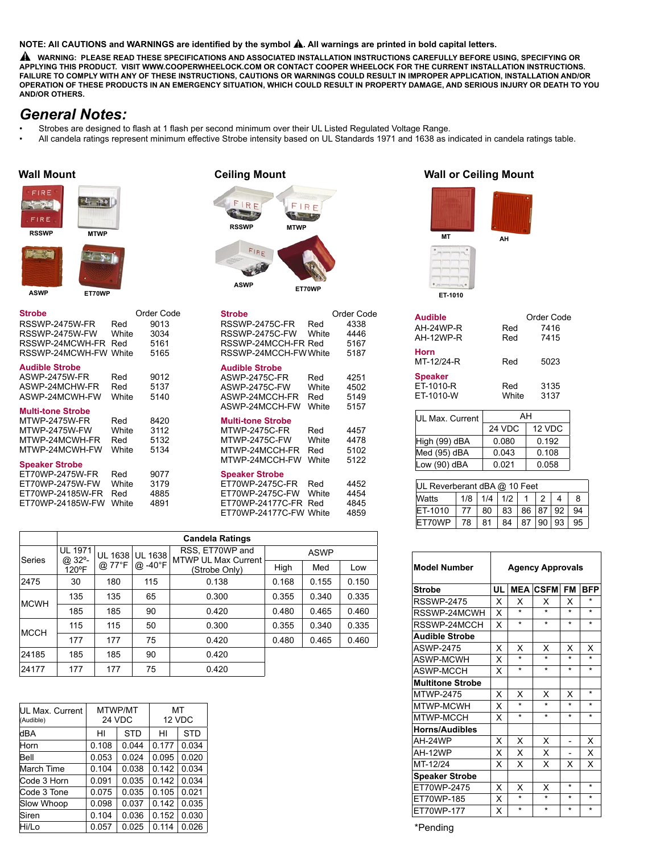#### **NOTE: All CAUTIONS and WARNINGS are identified by the symbol**  $\hat{A}$ **. All warnings are printed in bold capital letters.**

 **WARNING: PLEASE READ THESE SPECIFICATIONS AND ASSOCIATED INSTALLATION INSTRUCTIONS CAREFULLY BEFORE USING, SPECIFYING OR APPLYING THIS PRODUCT. VISIT WWW.COOPERWHEELOCK.COM OR CONTACT COOPER WHEELOCK FOR THE CURRENT INSTALLATION INSTRUCTIONS. FAILURE TO COMPLY WITH ANY OF THESE INSTRUCTIONS, CAUTIONS OR WARNINGS COULD RESULT IN IMPROPER APPLICATION, INSTALLATION AND/OR OPERATION OF THESE PRODUCTS IN AN EMERGENCY SITUATION, WHICH COULD RESULT IN PROPERTY DAMAGE, AND SERIOUS INJURY OR DEATH TO YOU AND/OR OTHERS.** 

# *General Notes:*

- Strobes are designed to flash at 1 flash per second minimum over their UL Listed Regulated Voltage Range.
- All candela ratings represent minimum effective Strobe intensity based on UL Standards 1971 and 1638 as indicated in candela ratings table.

# FIRE  $47.30$ FIRE **RSSWP MTWP MTWP MTWP**  $\frac{1}{2}$  50 **ET-1010 ASWP ET70WP**

| Strobe                   |              | Order Code |
|--------------------------|--------------|------------|
| RSSWP-2475W-FR           | Red          | 9013       |
| RSSWP-2475W-FW           | White        | 3034       |
| RSSWP-24MCWH-FR          | Red          | 5161       |
| RSSWP-24MCWH-FW          | White        | 5165       |
| <b>Audible Strobe</b>    |              |            |
| <b>ASWP-2475W-FR</b>     | Red          | 9012       |
| ASWP-24MCHW-FR           | Red          | 5137       |
| ASWP-24MCWH-FW           | White        | 5140       |
| <b>Multi-tone Strobe</b> |              |            |
| MTWP-2475W-FR            | Red          | 8420       |
| MTWP-2475W-FW            | White        | 3112       |
| MTWP-24MCWH-FR           | Red          | 5132       |
| MTWP-24MCWH-FW           | <b>White</b> | 5134       |
| <b>Speaker Strobe</b>    |              |            |
| ET70WP-2475W-FR          | Red          | 9077       |
| ET70WP-2475W-FW          | White        | 3179       |
| ET70WP-24185W-FR         | Red          | 4885       |
| FT70WP-24185W-FW         | White        | 4891       |
|                          |              |            |

# FIRE FIRE  $t = 12$ **Contract State RSSWP** FIRE **ET70WP ASWP**

| <b>Strobe</b><br>RSSWP-2475C-FR<br>RSSWP-2475C-FW<br>RSSWP-24MCCH-FR Red<br>RSSWP-24MCCH-FWWhite          | Red<br><b>White</b>                        | Order Code<br>4338<br>4446<br>5167<br>5187 |
|-----------------------------------------------------------------------------------------------------------|--------------------------------------------|--------------------------------------------|
| <b>Audible Strobe</b><br><b>ASWP-2475C-FR</b><br><b>ASWP-2475C-FW</b><br>ASWP-24MCCH-FR<br>ASWP-24MCCH-FW | Red<br><b>White</b><br>Red<br><b>White</b> | 4251<br>4502<br>5149<br>5157               |
| <b>Multi-tone Strobe</b><br><b>MTWP-2475C-FR</b><br>MTWP-2475C-FW<br>MTWP-24MCCH-FR<br>MTWP-24MCCH-FW     | Red<br><b>White</b><br>Red<br><b>White</b> | 4457<br>4478<br>5102<br>5122               |
| <b>Speaker Strobe</b><br>ET70WP-2475C-FR<br>ET70WP-2475C-FW<br>FT70WP-24177C-FR<br>ET70WP-24177C-FW       | Red<br>White<br>Red<br><b>White</b>        | 4452<br>4454<br>4845<br>4859               |
|                                                                                                           |                                            |                                            |

|              |                 |                |                | <b>Candela Ratings</b>                 |             |       |       |
|--------------|-----------------|----------------|----------------|----------------------------------------|-------------|-------|-------|
| Series       | UL 1971         | <b>UL 1638</b> | <b>UL 1638</b> | RSS, ET70WP and<br>MTWP UL Max Current | <b>ASWP</b> |       |       |
|              | @ 32°-<br>120°F | @ 77°F         | @ -40°F        | (Strobe Only)                          | High        | Med   | Low   |
| 2475         | 30              | 180            | 115            | 0.138                                  | 0.168       | 0.155 | 0.150 |
|              | 135             | 135            | 65             | 0.300                                  | 0.355       | 0.340 | 0.335 |
| <b>IMCWH</b> | 185             | 185            | 90             | 0.420                                  | 0.480       | 0.465 | 0.460 |
| <b>IMCCH</b> | 115             | 115            | 50             | 0.300                                  | 0.355       | 0.340 | 0.335 |
|              | 177             | 177            | 75             | 0.420                                  | 0.480       | 0.465 | 0.460 |
| 24185        | 185             | 185            | 90             | 0.420                                  |             |       |       |
| 24177        | 177             | 177            | 75             | 0.420                                  |             |       |       |

| UL Max. Current<br>(Audible) |       | MTWP/MT<br>24 VDC |       | МT<br>12 VDC |  |
|------------------------------|-------|-------------------|-------|--------------|--|
| dBA                          | HI    | STD               | HI    | <b>STD</b>   |  |
| Horn                         | 0.108 | 0.044             | 0.177 | 0.034        |  |
| Bell                         | 0.053 | 0.024             | 0.095 | 0.020        |  |
| March Time                   | 0.104 | 0.038             | 0.142 | 0.034        |  |
| Code 3 Horn                  | 0.091 | 0.035             | 0.142 | 0.034        |  |
| Code 3 Tone                  | 0.075 | 0.035             | 0.105 | 0.021        |  |
| Slow Whoop                   | 0.098 | 0.037             | 0.142 | 0.035        |  |
| Siren                        | 0.104 | 0.036             | 0.152 | 0.030        |  |
| Hi/Lo                        | 0.057 | 0.025             | 0.114 | 0.026        |  |

## **Wall Mount Ceiling Mount Wall or Ceiling Mount**



| Audible              |        | Order Code |  |  |
|----------------------|--------|------------|--|--|
| AH-24WP-R            | Red    | 7416       |  |  |
| AH-12WP-R            | Red    | 7415       |  |  |
| Horn<br>MT-12/24-R   | Red    | 5023       |  |  |
| Speaker<br>ET-1010-R | Red    | 3135       |  |  |
| ET-1010-W            | White  | 3137       |  |  |
| UL Max. Current      | AH     |            |  |  |
|                      | 24 VDC | 12 VDC     |  |  |
| High (99) dBA        | 0.080  | 0.192      |  |  |
|                      |        |            |  |  |

Med (95) dBA 0.043 0.108  $\begin{array}{|c|c|c|c|c|c|c|c|} \hline \text{Low (90) dBA} & 0.021 & 0.058 \hline \end{array}$ 

| UL Reverberant dBA @ 10 Feet |     |     |     |    |     |    |    |
|------------------------------|-----|-----|-----|----|-----|----|----|
| <b>Watts</b>                 | 1/8 | 1/4 | 1/2 |    |     |    | 8  |
| ET-1010                      | 77  | 80  | 83  | 86 | .87 | 92 | 94 |
| FT70WP                       | 78  | 81  | RΔ  | 87 | 90  | 93 | 95 |

| <b>Model Number</b>     | <b>Agency Approvals</b> |         |                 |           |            |  |
|-------------------------|-------------------------|---------|-----------------|-----------|------------|--|
| <b>Strobe</b>           | UL                      |         | <b>MEA CSFM</b> | <b>FM</b> | <b>BFP</b> |  |
| <b>RSSWP-2475</b>       | x                       | x       | x               | x         | $\star$    |  |
| RSSWP-24MCWH            | X                       | ÷       | ÷               | ÷         | ÷          |  |
| RSSWP-24MCCH            | X                       | $\star$ | $\star$         | $\star$   | $\star$    |  |
| <b>Audible Strobe</b>   |                         |         |                 |           |            |  |
| ASWP-2475               | x                       | x       | x               | x         | x          |  |
| <b>ASWP-MCWH</b>        | X                       | $\star$ | $\star$         | ÷         | ÷          |  |
| <b>ASWP-MCCH</b>        | x                       | ÷       | $\star$         | ÷         | $\star$    |  |
| <b>Multitone Strobe</b> |                         |         |                 |           |            |  |
| <b>MTWP-2475</b>        | x                       | X       | X               | x         | $\star$    |  |
| MTWP-MCWH               | X                       | $\star$ | $\star$         | $\star$   | $\star$    |  |
| MTWP-MCCH               | x                       | $\star$ | $\star$         | $\star$   | $\star$    |  |
| <b>Horns/Audibles</b>   |                         |         |                 |           |            |  |
| AH-24WP                 | х                       | X       | X               |           | X          |  |
| AH-12WP                 | x                       | X       | X               |           | x          |  |
| MT-12/24                | x                       | X       | X               | x         | x          |  |
| <b>Speaker Strobe</b>   |                         |         |                 |           |            |  |
| ET70WP-2475             | x                       | x       | x               | $\star$   | $\star$    |  |
| ET70WP-185              | х                       | $\star$ | $\star$         | $\star$   | $\star$    |  |
| ET70WP-177              | X                       | $\star$ | $\star$         | $\star$   | $\star$    |  |

\*Pending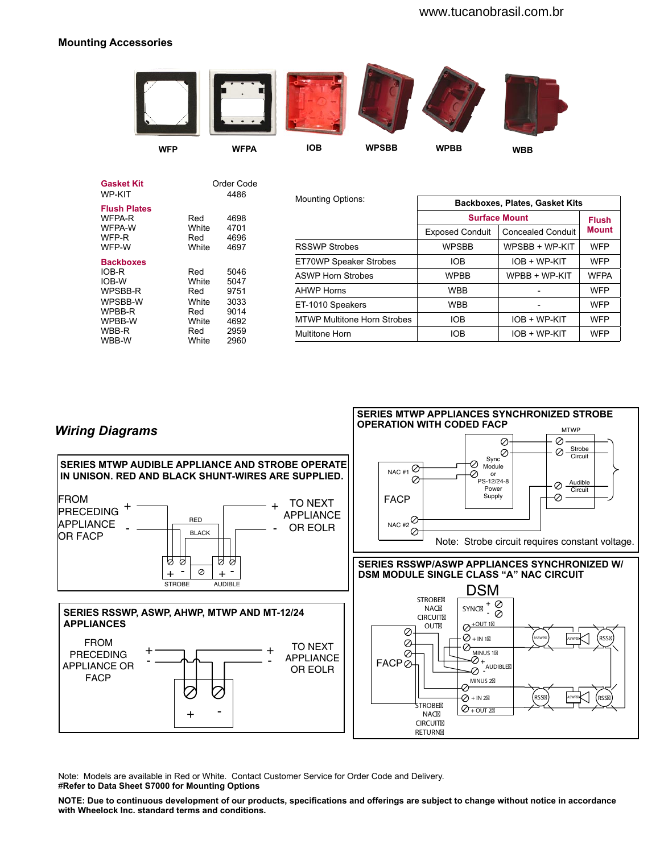## **Mounting Accessories**



|       |                                       | <b>Mounting Options:</b>                                   |                        |                          |                                                               |
|-------|---------------------------------------|------------------------------------------------------------|------------------------|--------------------------|---------------------------------------------------------------|
| Red   | 4698                                  |                                                            |                        |                          | <b>Flush</b>                                                  |
|       |                                       |                                                            | <b>Exposed Conduit</b> | <b>Concealed Conduit</b> | <b>Mount</b>                                                  |
| White | 4697                                  | <b>RSSWP Strobes</b>                                       | <b>WPSBB</b>           | WPSBB + WP-KIT           | <b>WFP</b>                                                    |
|       |                                       | ET70WP Speaker Strobes                                     | <b>IOB</b>             | IOB + WP-KIT             | <b>WFP</b>                                                    |
| Red   | 5046                                  | <b>ASWP Horn Strobes</b>                                   | <b>WPBB</b>            | WPBB + WP-KIT            | <b>WFPA</b>                                                   |
| Red   | 9751                                  | <b>AHWP Horns</b>                                          | <b>WBB</b>             |                          | <b>WFP</b>                                                    |
| White | 3033                                  | ET-1010 Speakers                                           | <b>WBB</b>             |                          | <b>WFP</b>                                                    |
| White | 4692                                  | <b>MTWP Multitone Horn Strobes</b>                         | <b>IOB</b>             | IOB + WP-KIT             | <b>WFP</b>                                                    |
| Red   | 2959                                  | Multitone Horn                                             | <b>IOB</b>             | IOB + WP-KIT             | <b>WFP</b>                                                    |
|       | White<br>Red<br>White<br>Red<br>White | Order Code<br>4486<br>4701<br>4696<br>5047<br>9014<br>2960 |                        |                          | <b>Backboxes, Plates, Gasket Kits</b><br><b>Surface Mount</b> |



Note: Models are available in Red or White. Contact Customer Service for Order Code and Delivery. #**Refer to Data Sheet S7000 for Mounting Options**

**NOTE: Due to continuous development of our products, specifications and offerings are subject to change without notice in accordance with Wheelock Inc. standard terms and conditions.**